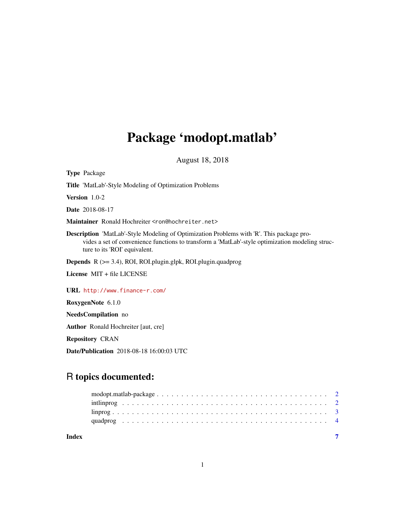## Package 'modopt.matlab'

August 18, 2018

Type Package Title 'MatLab'-Style Modeling of Optimization Problems Version 1.0-2 Date 2018-08-17 Maintainer Ronald Hochreiter <ron@hochreiter.net> Description 'MatLab'-Style Modeling of Optimization Problems with 'R'. This package provides a set of convenience functions to transform a 'MatLab'-style optimization modeling structure to its 'ROI' equivalent. Depends R (>= 3.4), ROI, ROI.plugin.glpk, ROI.plugin.quadprog License MIT + file LICENSE URL <http://www.finance-r.com/> RoxygenNote 6.1.0 NeedsCompilation no Author Ronald Hochreiter [aut, cre]

Repository CRAN

Date/Publication 2018-08-18 16:00:03 UTC

### R topics documented:

|       | intling $\mathbf{p}_1, \ldots, \mathbf{p}_n, \ldots, \mathbf{p}_n, \ldots, \mathbf{p}_n, \ldots, \mathbf{p}_n, \ldots, \mathbf{p}_n, \ldots, \mathbf{p}_n, \ldots, \mathbf{p}_n$ |  |  |  |  |  |  |  |  |  |  |  |  |  |  |  |  |  |  |
|-------|----------------------------------------------------------------------------------------------------------------------------------------------------------------------------------|--|--|--|--|--|--|--|--|--|--|--|--|--|--|--|--|--|--|
|       |                                                                                                                                                                                  |  |  |  |  |  |  |  |  |  |  |  |  |  |  |  |  |  |  |
| Index |                                                                                                                                                                                  |  |  |  |  |  |  |  |  |  |  |  |  |  |  |  |  |  |  |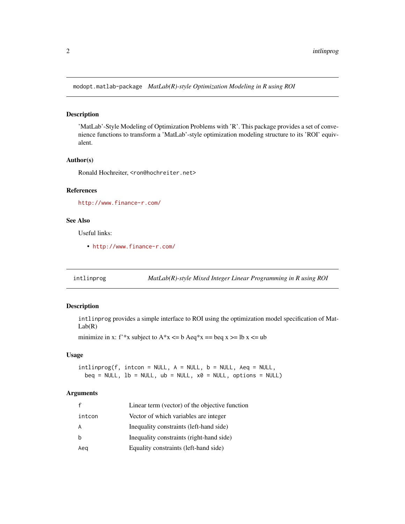<span id="page-1-0"></span>modopt.matlab-package *MatLab(R)-style Optimization Modeling in R using ROI*

#### Description

'MatLab'-Style Modeling of Optimization Problems with 'R'. This package provides a set of convenience functions to transform a 'MatLab'-style optimization modeling structure to its 'ROI' equivalent.

#### Author(s)

Ronald Hochreiter, <ron@hochreiter.net>

#### References

<http://www.finance-r.com/>

#### See Also

Useful links:

• <http://www.finance-r.com/>

intlinprog *MatLab(R)-style Mixed Integer Linear Programming in R using ROI*

#### Description

intlinprog provides a simple interface to ROI using the optimization model specification of Mat- $Lab(R)$ 

minimize in x: f<sup>\*</sup>\*x subject to A<sup>\*</sup>x <= b Aeq<sup>\*</sup>x == beq x >= lb x <= ub

#### Usage

 $intlinprog(f, intoon = NULL, A = NULL, b = NULL, Aeg = NULL,$  $beg = NULL$ ,  $lb = NULL$ ,  $ub = NULL$ ,  $x0 = NULL$ ,  $options = NULL$ 

#### Arguments

| f      | Linear term (vector) of the objective function |
|--------|------------------------------------------------|
| intcon | Vector of which variables are integer          |
| A      | Inequality constraints (left-hand side)        |
| b      | Inequality constraints (right-hand side)       |
| Aeg    | Equality constraints (left-hand side)          |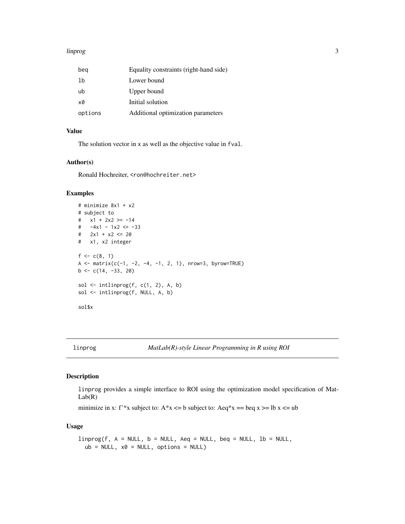#### <span id="page-2-0"></span>linprog 3

| beg     | Equality constraints (right-hand side) |
|---------|----------------------------------------|
| 1b      | Lower bound                            |
| ub      | Upper bound                            |
| x0      | Initial solution                       |
| options | Additional optimization parameters     |

#### Value

The solution vector in x as well as the objective value in fval.

#### Author(s)

Ronald Hochreiter, <ron@hochreiter.net>

#### Examples

```
# minimize 8x1 + x2
# subject to
# x1 + 2x2 >= -14
# -4x1 - 1x2 <= -33
# 2x1 + x2 \le 20# x1, x2 integer
f \leftarrow c(8, 1)A <- matrix(c(-1, -2, -4, -1, 2, 1), nrow=3, byrow=TRUE)
b \leq c(14, -33, 20)sol \le intlinprog(f, c(1, 2), A, b)
sol <- intlinprog(f, NULL, A, b)
sol$x
```
#### Description

linprog provides a simple interface to ROI using the optimization model specification of Mat- $Lab(R)$ 

minimize in x: f<sup>\*\*</sup>x subject to: A<sup>\*</sup>x <= b subject to: Aeq<sup>\*</sup>x == beq x >= lb x <= ub

#### Usage

```
linnprog(f, A = NULL, b = NULL, Aeq = NULL, beq = NULL, lb = NULL,ub = NULL, x0 = NULL, options = NULL)
```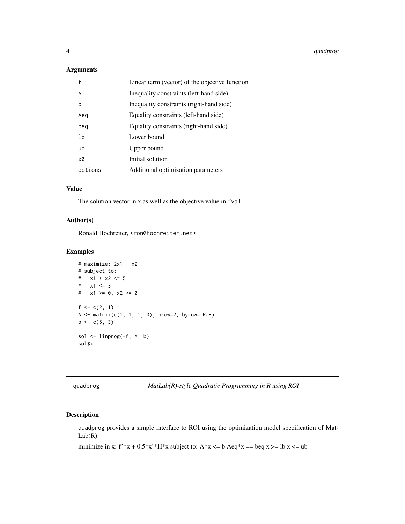#### <span id="page-3-0"></span>Arguments

|         | Linear term (vector) of the objective function |
|---------|------------------------------------------------|
| A       | Inequality constraints (left-hand side)        |
| b       | Inequality constraints (right-hand side)       |
| Aeg     | Equality constraints (left-hand side)          |
| beg     | Equality constraints (right-hand side)         |
| 1b      | Lower bound                                    |
| ub      | Upper bound                                    |
| x0      | Initial solution                               |
| options | Additional optimization parameters             |

#### Value

The solution vector in x as well as the objective value in fval.

#### Author(s)

Ronald Hochreiter, <ron@hochreiter.net>

#### Examples

```
# maximize: 2x1 + x2
# subject to:
# x1 + x2 \le 5# x1 \le 3# x1 = 0, x2 = 0f \leftarrow c(2, 1)A <- matrix(c(1, 1, 1, 0), nrow=2, byrow=TRUE)
b \leq c(5, 3)sol \le linprog(-f, A, b)
sol$x
```
quadprog *MatLab(R)-style Quadratic Programming in R using ROI*

#### Description

quadprog provides a simple interface to ROI using the optimization model specification of Mat- $Lab(R)$ 

minimize in x: f'\*x + 0.5\*x'\*H\*x subject to: A\*x <= b Aeq\*x == beq x >= lb x <= ub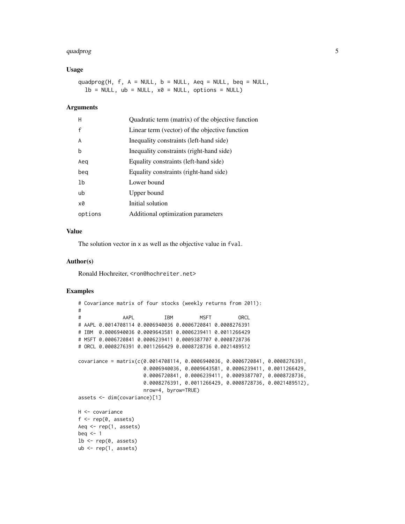#### quadprog 50 to 100 minutes and 200 minutes of the contract of the contract of the contract of the contract of the contract of the contract of the contract of the contract of the contract of the contract of the contract of

#### Usage

quadprog(H,  $f$ ,  $A = NULL$ ,  $b = NULL$ ,  $Aeg = NULL$ ,  $beq = NULL$ ,  $lb = NULL$ ,  $ub = NULL$ ,  $x0 = NULL$ , options = NULL)

#### Arguments

| H       | Quadratic term (matrix) of the objective function |
|---------|---------------------------------------------------|
| f       | Linear term (vector) of the objective function    |
| A       | Inequality constraints (left-hand side)           |
| b       | Inequality constraints (right-hand side)          |
| Aeg     | Equality constraints (left-hand side)             |
| beg     | Equality constraints (right-hand side)            |
| 1b      | Lower bound                                       |
| ub      | Upper bound                                       |
| x0      | Initial solution                                  |
| options | Additional optimization parameters                |
|         |                                                   |

#### Value

The solution vector in x as well as the objective value in fval.

#### Author(s)

Ronald Hochreiter, <ron@hochreiter.net>

#### Examples

```
# Covariance matrix of four stocks (weekly returns from 2011):
#
# AAPL IBM MSFT ORCL
# AAPL 0.0014708114 0.0006940036 0.0006720841 0.0008276391
# IBM 0.0006940036 0.0009643581 0.0006239411 0.0011266429
# MSFT 0.0006720841 0.0006239411 0.0009387707 0.0008728736
# ORCL 0.0008276391 0.0011266429 0.0008728736 0.0021489512
covariance = matrix(c(0.0014708114, 0.0006940036, 0.0006720841, 0.0008276391,
                     0.0006940036, 0.0009643581, 0.0006239411, 0.0011266429,
                     0.0006720841, 0.0006239411, 0.0009387707, 0.0008728736,
                     0.0008276391, 0.0011266429, 0.0008728736, 0.0021489512),
                     nrow=4, byrow=TRUE)
assets <- dim(covariance)[1]
H <- covariance
f \leftarrow rep(0, \text{ assets})Aeq <- rep(1, assets)
beq <-11b \leftarrow rep(0, assets)ub < - rep(1, assets)
```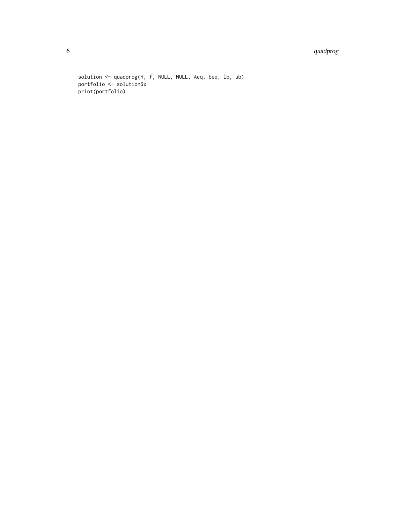#### 6 quadprog and the contract of the contract of the contract of the contract of the contract of the contract of the contract of the contract of the contract of the contract of the contract of the contract of the contract of

solution <- quadprog(H, f, NULL, NULL, Aeq, beq, lb, ub) portfolio <- solution\$x print(portfolio)